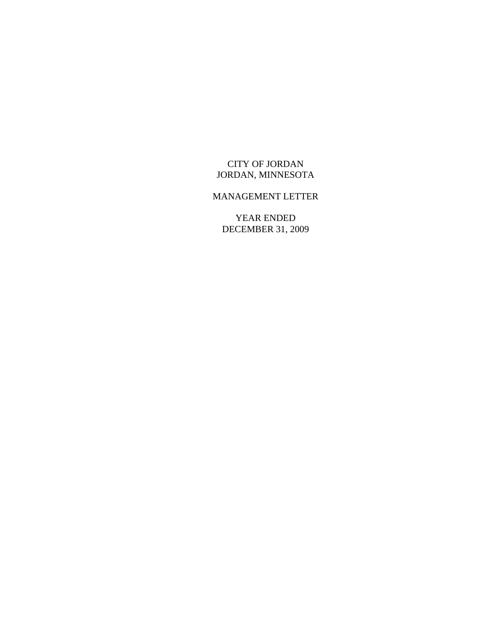# CITY OF JORDAN JORDAN, MINNESOTA

# MANAGEMENT LETTER

YEAR ENDED DECEMBER 31, 2009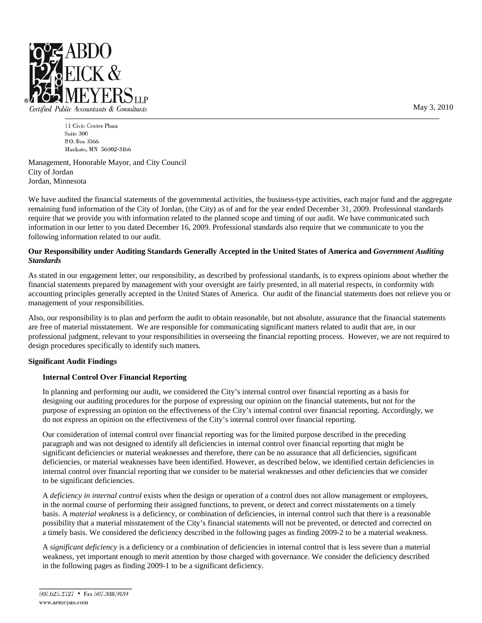

Certified Public Accountants & Consultants

11 Civic Center Plaza Suite 300 P.O. Box 3166 Mankato, MN 56002-3166

Management, Honorable Mayor, and City Council City of Jordan Jordan, Minnesota

We have audited the financial statements of the governmental activities, the business-type activities, each major fund and the aggregate remaining fund information of the City of Jordan, (the City) as of and for the year ended December 31, 2009. Professional standards require that we provide you with information related to the planned scope and timing of our audit. We have communicated such information in our letter to you dated December 16, 2009. Professional standards also require that we communicate to you the following information related to our audit.

## **Our Responsibility under Auditing Standards Generally Accepted in the United States of America and** *Government Auditing Standards*

As stated in our engagement letter, our responsibility, as described by professional standards, is to express opinions about whether the financial statements prepared by management with your oversight are fairly presented, in all material respects, in conformity with accounting principles generally accepted in the United States of America. Our audit of the financial statements does not relieve you or management of your responsibilities.

Also, our responsibility is to plan and perform the audit to obtain reasonable, but not absolute, assurance that the financial statements are free of material misstatement. We are responsible for communicating significant matters related to audit that are, in our professional judgment, relevant to your responsibilities in overseeing the financial reporting process. However, we are not required to design procedures specifically to identify such matters.

### **Significant Audit Findings**

### **Internal Control Over Financial Reporting**

In planning and performing our audit, we considered the City's internal control over financial reporting as a basis for designing our auditing procedures for the purpose of expressing our opinion on the financial statements, but not for the purpose of expressing an opinion on the effectiveness of the City's internal control over financial reporting. Accordingly, we do not express an opinion on the effectiveness of the City's internal control over financial reporting.

Our consideration of internal control over financial reporting was for the limited purpose described in the preceding paragraph and was not designed to identify all deficiencies in internal control over financial reporting that might be significant deficiencies or material weaknesses and therefore, there can be no assurance that all deficiencies, significant deficiencies, or material weaknesses have been identified. However, as described below, we identified certain deficiencies in internal control over financial reporting that we consider to be material weaknesses and other deficiencies that we consider to be significant deficiencies.

A *deficiency in internal control* exists when the design or operation of a control does not allow management or employees, in the normal course of performing their assigned functions, to prevent, or detect and correct misstatements on a timely basis. A *material weakness* is a deficiency, or combination of deficiencies, in internal control such that there is a reasonable possibility that a material misstatement of the City's financial statements will not be prevented, or detected and corrected on a timely basis. We considered the deficiency described in the following pages as finding 2009-2 to be a material weakness.

A *significant deficiency* is a deficiency or a combination of deficiencies in internal control that is less severe than a material weakness, yet important enough to merit attention by those charged with governance. We consider the deficiency described in the following pages as finding 2009-1 to be a significant deficiency.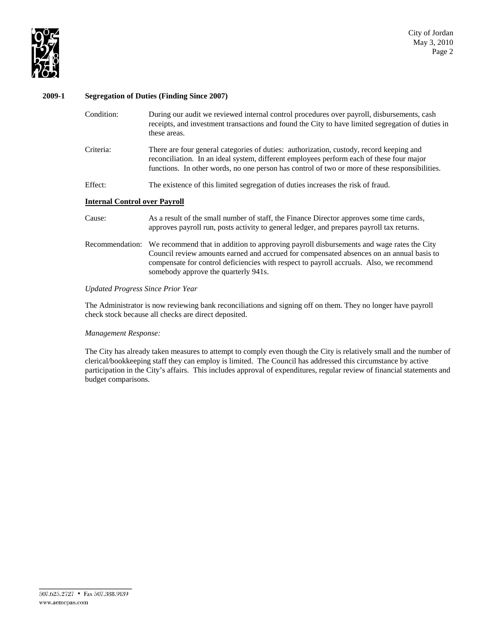

#### **2009-1 Segregation of Duties (Finding Since 2007)**

| Condition:                           | During our audit we reviewed internal control procedures over payroll, disbursements, cash<br>receipts, and investment transactions and found the City to have limited segregation of duties in<br>these areas.                                                                                                          |  |  |  |  |  |
|--------------------------------------|--------------------------------------------------------------------------------------------------------------------------------------------------------------------------------------------------------------------------------------------------------------------------------------------------------------------------|--|--|--|--|--|
| Criteria:                            | There are four general categories of duties: authorization, custody, record keeping and<br>reconciliation. In an ideal system, different employees perform each of these four major<br>functions. In other words, no one person has control of two or more of these responsibilities.                                    |  |  |  |  |  |
| Effect:                              | The existence of this limited segregation of duties increases the risk of fraud.                                                                                                                                                                                                                                         |  |  |  |  |  |
| <b>Internal Control over Payroll</b> |                                                                                                                                                                                                                                                                                                                          |  |  |  |  |  |
| Cause:                               | As a result of the small number of staff, the Finance Director approves some time cards,<br>approves payroll run, posts activity to general ledger, and prepares payroll tax returns.                                                                                                                                    |  |  |  |  |  |
| Recommendation:                      | We recommend that in addition to approving payroll disbursements and wage rates the City<br>Council review amounts earned and accrued for compensated absences on an annual basis to<br>compensate for control deficiencies with respect to payroll accruals. Also, we recommend<br>somebody approve the quarterly 941s. |  |  |  |  |  |

#### *Updated Progress Since Prior Year*

The Administrator is now reviewing bank reconciliations and signing off on them. They no longer have payroll check stock because all checks are direct deposited.

#### *Management Response:*

The City has already taken measures to attempt to comply even though the City is relatively small and the number of clerical/bookkeeping staff they can employ is limited. The Council has addressed this circumstance by active participation in the City's affairs. This includes approval of expenditures, regular review of financial statements and budget comparisons.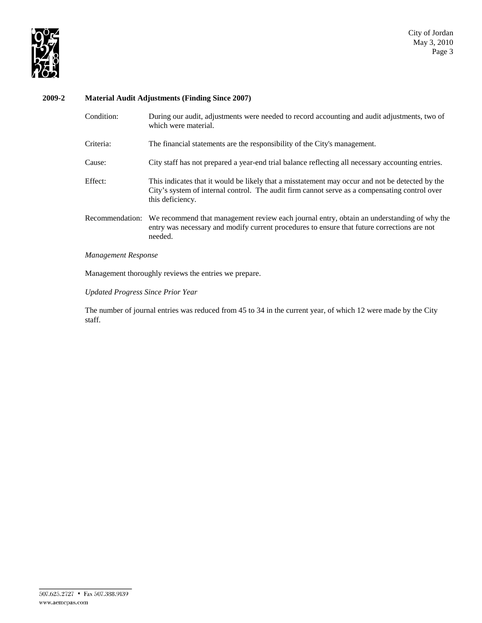

# **2009-2 Material Audit Adjustments (Finding Since 2007)**

| Condition:      | During our audit, adjustments were needed to record accounting and audit adjustments, two of<br>which were material.                                                                                                 |
|-----------------|----------------------------------------------------------------------------------------------------------------------------------------------------------------------------------------------------------------------|
| Criteria:       | The financial statements are the responsibility of the City's management.                                                                                                                                            |
| Cause:          | City staff has not prepared a year-end trial balance reflecting all necessary accounting entries.                                                                                                                    |
| Effect:         | This indicates that it would be likely that a misstatement may occur and not be detected by the<br>City's system of internal control. The audit firm cannot serve as a compensating control over<br>this deficiency. |
| Recommendation: | We recommend that management review each journal entry, obtain an understanding of why the<br>entry was necessary and modify current procedures to ensure that future corrections are not<br>needed.                 |

## *Management Response*

Management thoroughly reviews the entries we prepare.

*Updated Progress Since Prior Year*

The number of journal entries was reduced from 45 to 34 in the current year, of which 12 were made by the City staff.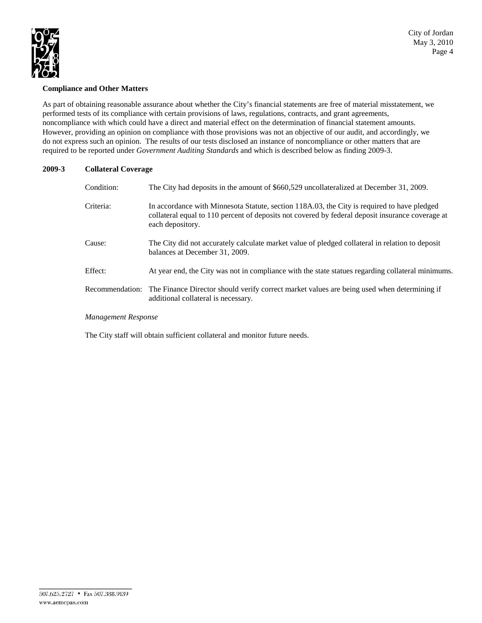

City of Jordan May 3, 2010 Page 4

### **Compliance and Other Matters**

As part of obtaining reasonable assurance about whether the City's financial statements are free of material misstatement, we performed tests of its compliance with certain provisions of laws, regulations, contracts, and grant agreements, noncompliance with which could have a direct and material effect on the determination of financial statement amounts. However, providing an opinion on compliance with those provisions was not an objective of our audit, and accordingly, we do not express such an opinion. The results of our tests disclosed an instance of noncompliance or other matters that are required to be reported under *Government Auditing Standards* and which is described below as finding 2009-3.

# **2009-3 Collateral Coverage**

| The City had deposits in the amount of \$660,529 uncollateralized at December 31, 2009.                                                                                                                             |
|---------------------------------------------------------------------------------------------------------------------------------------------------------------------------------------------------------------------|
| In accordance with Minnesota Statute, section 118A.03, the City is required to have pledged<br>collateral equal to 110 percent of deposits not covered by federal deposit insurance coverage at<br>each depository. |
| The City did not accurately calculate market value of pledged collateral in relation to deposit<br>balances at December 31, 2009.                                                                                   |
| At year end, the City was not in compliance with the state statues regarding collateral minimums.                                                                                                                   |
| The Finance Director should verify correct market values are being used when determining if<br>additional collateral is necessary.                                                                                  |
|                                                                                                                                                                                                                     |

### *Management Response*

The City staff will obtain sufficient collateral and monitor future needs.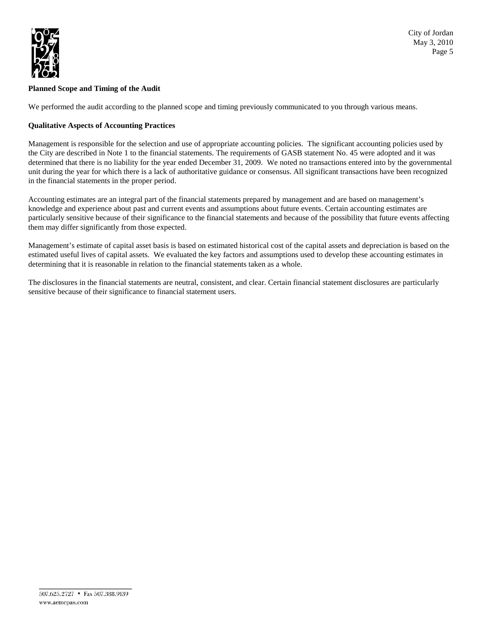

# **Planned Scope and Timing of the Audit**

We performed the audit according to the planned scope and timing previously communicated to you through various means.

# **Qualitative Aspects of Accounting Practices**

Management is responsible for the selection and use of appropriate accounting policies. The significant accounting policies used by the City are described in Note 1 to the financial statements. The requirements of GASB statement No. 45 were adopted and it was determined that there is no liability for the year ended December 31, 2009. We noted no transactions entered into by the governmental unit during the year for which there is a lack of authoritative guidance or consensus. All significant transactions have been recognized in the financial statements in the proper period.

Accounting estimates are an integral part of the financial statements prepared by management and are based on management's knowledge and experience about past and current events and assumptions about future events. Certain accounting estimates are particularly sensitive because of their significance to the financial statements and because of the possibility that future events affecting them may differ significantly from those expected.

Management's estimate of capital asset basis is based on estimated historical cost of the capital assets and depreciation is based on the estimated useful lives of capital assets. We evaluated the key factors and assumptions used to develop these accounting estimates in determining that it is reasonable in relation to the financial statements taken as a whole.

The disclosures in the financial statements are neutral, consistent, and clear. Certain financial statement disclosures are particularly sensitive because of their significance to financial statement users.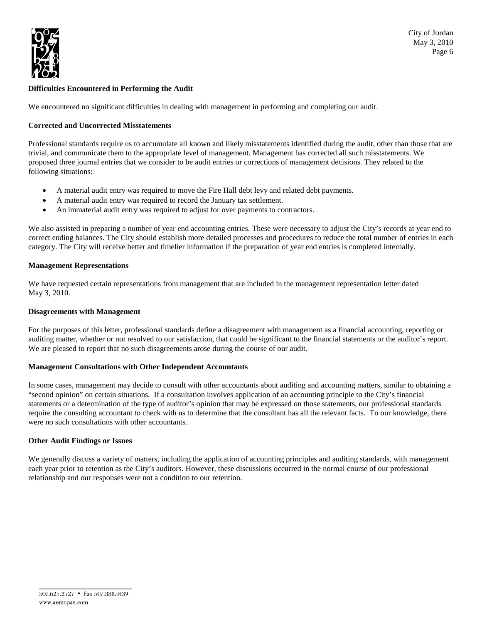

# **Difficulties Encountered in Performing the Audit**

We encountered no significant difficulties in dealing with management in performing and completing our audit.

### **Corrected and Uncorrected Misstatements**

Professional standards require us to accumulate all known and likely misstatements identified during the audit, other than those that are trivial, and communicate them to the appropriate level of management. Management has corrected all such misstatements. We proposed three journal entries that we consider to be audit entries or corrections of management decisions. They related to the following situations:

- A material audit entry was required to move the Fire Hall debt levy and related debt payments.
- A material audit entry was required to record the January tax settlement.
- An immaterial audit entry was required to adjust for over payments to contractors.

We also assisted in preparing a number of year end accounting entries. These were necessary to adjust the City's records at year end to correct ending balances. The City should establish more detailed processes and procedures to reduce the total number of entries in each category. The City will receive better and timelier information if the preparation of year end entries is completed internally.

#### **Management Representations**

We have requested certain representations from management that are included in the management representation letter dated May 3, 2010.

#### **Disagreements with Management**

For the purposes of this letter, professional standards define a disagreement with management as a financial accounting, reporting or auditing matter, whether or not resolved to our satisfaction, that could be significant to the financial statements or the auditor's report. We are pleased to report that no such disagreements arose during the course of our audit.

#### **Management Consultations with Other Independent Accountants**

In some cases, management may decide to consult with other accountants about auditing and accounting matters, similar to obtaining a "second opinion" on certain situations. If a consultation involves application of an accounting principle to the City's financial statements or a determination of the type of auditor's opinion that may be expressed on those statements, our professional standards require the consulting accountant to check with us to determine that the consultant has all the relevant facts. To our knowledge, there were no such consultations with other accountants.

#### **Other Audit Findings or Issues**

We generally discuss a variety of matters, including the application of accounting principles and auditing standards, with management each year prior to retention as the City's auditors. However, these discussions occurred in the normal course of our professional relationship and our responses were not a condition to our retention.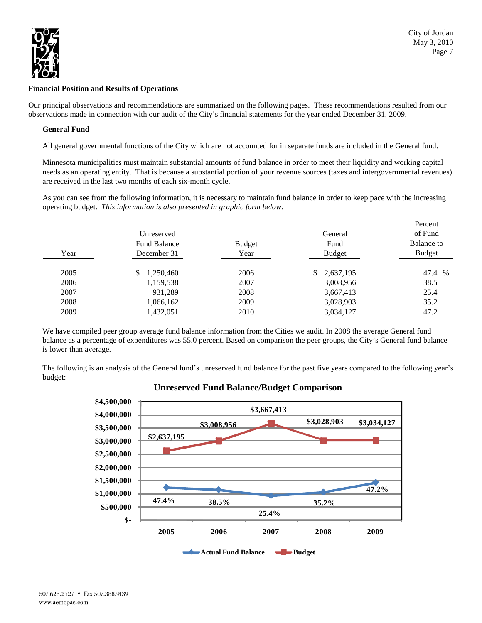

## **Financial Position and Results of Operations**

Our principal observations and recommendations are summarized on the following pages. These recommendations resulted from our observations made in connection with our audit of the City's financial statements for the year ended December 31, 2009.

## **General Fund**

All general governmental functions of the City which are not accounted for in separate funds are included in the General fund.

Minnesota municipalities must maintain substantial amounts of fund balance in order to meet their liquidity and working capital needs as an operating entity. That is because a substantial portion of your revenue sources (taxes and intergovernmental revenues) are received in the last two months of each six-month cycle.

As you can see from the following information, it is necessary to maintain fund balance in order to keep pace with the increasing operating budget. *This information is also presented in graphic form below*.

| Year | Unreserved<br><b>Fund Balance</b><br>December 31 | <b>Budget</b><br>Year | General<br>Fund<br><b>Budget</b> | Percent<br>of Fund<br>Balance to<br><b>Budget</b> |
|------|--------------------------------------------------|-----------------------|----------------------------------|---------------------------------------------------|
| 2005 | 1,250,460<br>\$                                  | 2006                  | 2,637,195<br>\$                  | 47.4 %                                            |
| 2006 | 1,159,538                                        | 2007                  | 3,008,956                        | 38.5                                              |
| 2007 | 931,289                                          | 2008                  | 3,667,413                        | 25.4                                              |
| 2008 | 1,066,162                                        | 2009                  | 3,028,903                        | 35.2                                              |
| 2009 | 1,432,051                                        | 2010                  | 3,034,127                        | 47.2                                              |

We have compiled peer group average fund balance information from the Cities we audit. In 2008 the average General fund balance as a percentage of expenditures was 55.0 percent. Based on comparison the peer groups, the City's General fund balance is lower than average.

The following is an analysis of the General fund's unreserved fund balance for the past five years compared to the following year's budget:



# **Unreserved Fund Balance/Budget Comparison**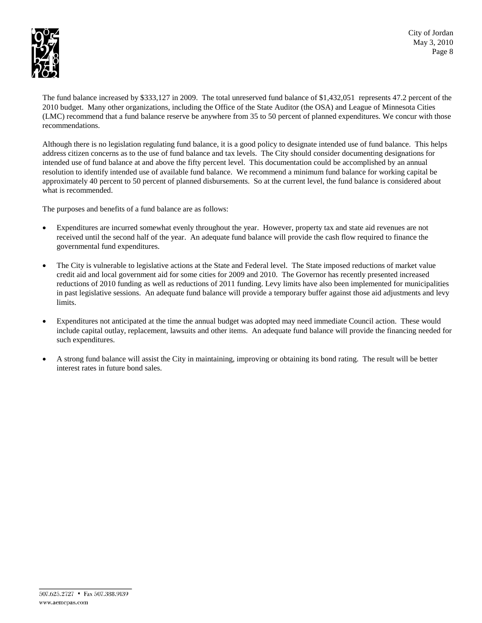

The fund balance increased by \$333,127 in 2009. The total unreserved fund balance of \$1,432,051 represents 47.2 percent of the 2010 budget. Many other organizations, including the Office of the State Auditor (the OSA) and League of Minnesota Cities (LMC) recommend that a fund balance reserve be anywhere from 35 to 50 percent of planned expenditures. We concur with those recommendations.

Although there is no legislation regulating fund balance, it is a good policy to designate intended use of fund balance. This helps address citizen concerns as to the use of fund balance and tax levels. The City should consider documenting designations for intended use of fund balance at and above the fifty percent level. This documentation could be accomplished by an annual resolution to identify intended use of available fund balance. We recommend a minimum fund balance for working capital be approximately 40 percent to 50 percent of planned disbursements. So at the current level, the fund balance is considered about what is recommended.

The purposes and benefits of a fund balance are as follows:

- Expenditures are incurred somewhat evenly throughout the year. However, property tax and state aid revenues are not received until the second half of the year. An adequate fund balance will provide the cash flow required to finance the governmental fund expenditures.
- The City is vulnerable to legislative actions at the State and Federal level. The State imposed reductions of market value credit aid and local government aid for some cities for 2009 and 2010. The Governor has recently presented increased reductions of 2010 funding as well as reductions of 2011 funding. Levy limits have also been implemented for municipalities in past legislative sessions. An adequate fund balance will provide a temporary buffer against those aid adjustments and levy limits.
- Expenditures not anticipated at the time the annual budget was adopted may need immediate Council action. These would include capital outlay, replacement, lawsuits and other items. An adequate fund balance will provide the financing needed for such expenditures.
- A strong fund balance will assist the City in maintaining, improving or obtaining its bond rating. The result will be better interest rates in future bond sales.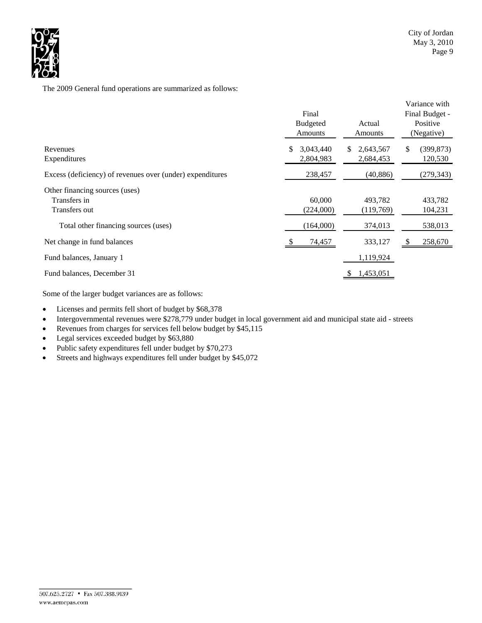

The 2009 General fund operations are summarized as follows:

|                                                           | Final<br><b>Budgeted</b><br>Amounts | Actual<br><b>Amounts</b> | Variance with<br>Final Budget -<br>Positive<br>(Negative) |
|-----------------------------------------------------------|-------------------------------------|--------------------------|-----------------------------------------------------------|
| Revenues                                                  | 3,043,440<br>S.                     | 2,643,567<br>\$.         | \$<br>(399, 873)                                          |
| Expenditures                                              | 2,804,983                           | 2,684,453                | 120,530                                                   |
| Excess (deficiency) of revenues over (under) expenditures | 238,457                             | (40, 886)                | (279, 343)                                                |
| Other financing sources (uses)                            |                                     |                          |                                                           |
| Transfers in                                              | 60,000                              | 493.782                  | 433,782                                                   |
| Transfers out                                             | (224,000)                           | (119,769)                | 104,231                                                   |
| Total other financing sources (uses)                      | (164,000)                           | 374,013                  | 538,013                                                   |
| Net change in fund balances                               | 74,457                              | 333,127                  | 258,670<br>-S                                             |
| Fund balances, January 1                                  |                                     | 1,119,924                |                                                           |
| Fund balances, December 31                                |                                     | 1,453,051                |                                                           |

Some of the larger budget variances are as follows:

- Licenses and permits fell short of budget by \$68,378
- Intergovernmental revenues were \$278,779 under budget in local government aid and municipal state aid streets
- Revenues from charges for services fell below budget by \$45,115
- Legal services exceeded budget by \$63,880
- Public safety expenditures fell under budget by \$70,273
- Streets and highways expenditures fell under budget by \$45,072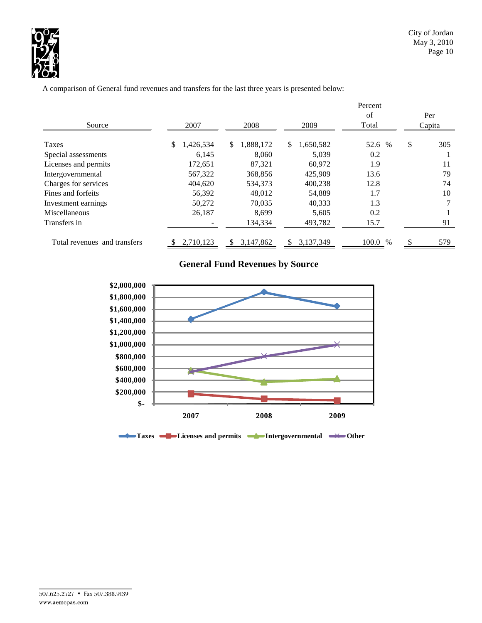

A comparison of General fund revenues and transfers for the last three years is presented below:

|                              |                 |                 |                 | Percent       |               |
|------------------------------|-----------------|-----------------|-----------------|---------------|---------------|
| Source                       | 2007            | 2008            | 2009            | of<br>Total   | Per<br>Capita |
|                              |                 |                 |                 |               |               |
| Taxes                        | 1,426,534<br>\$ | \$<br>1,888,172 | 1,650,582<br>\$ | 52.6 %        | \$<br>305     |
| Special assessments          | 6.145           | 8.060           | 5,039           | 0.2           |               |
| Licenses and permits         | 172,651         | 87.321          | 60,972          | 1.9           | 11            |
| Intergovernmental            | 567,322         | 368,856         | 425,909         | 13.6          | 79            |
| Charges for services         | 404,620         | 534,373         | 400.238         | 12.8          | 74            |
| Fines and forfeits           | 56,392          | 48,012          | 54,889          | 1.7           | 10            |
| Investment earnings          | 50,272          | 70,035          | 40,333          | 1.3           |               |
| Miscellaneous                | 26,187          | 8.699           | 5,605           | 0.2           |               |
| Transfers in                 |                 | 134,334         | 493,782         | 15.7          | 91            |
| Total revenues and transfers | 2,710,123       | 3,147,862<br>S  | 3.137.349<br>S. | 100.0<br>$\%$ | \$<br>579     |

# **General Fund Revenues by Source**

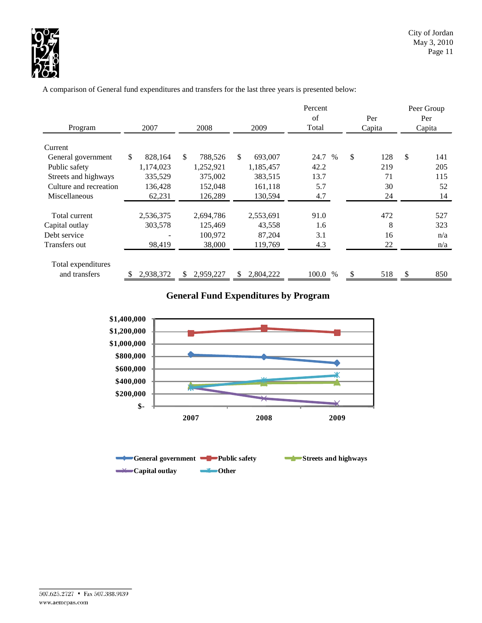

A comparison of General fund expenditures and transfers for the last three years is presented below:

| Program                | 2007          | 2008            | 2009            | Percent<br>of<br>Total | Per<br>Capita | Peer Group<br>Per<br>Capita |
|------------------------|---------------|-----------------|-----------------|------------------------|---------------|-----------------------------|
| Current                |               |                 |                 |                        |               |                             |
| General government     | \$<br>828,164 | \$<br>788,526   | \$<br>693,007   | 24.7<br>$\%$           | \$<br>128     | \$<br>141                   |
| Public safety          | 1,174,023     | 1,252,921       | 1,185,457       | 42.2                   | 219           | 205                         |
| Streets and highways   | 335,529       | 375,002         | 383,515         | 13.7                   | 71            | 115                         |
| Culture and recreation | 136,428       | 152,048         | 161,118         | 5.7                    | 30            | 52                          |
| Miscellaneous          | 62,231        | 126,289         | 130,594         | 4.7                    | 24            | 14                          |
|                        |               |                 |                 |                        |               |                             |
| Total current          | 2,536,375     | 2,694,786       | 2,553,691       | 91.0                   | 472           | 527                         |
| Capital outlay         | 303,578       | 125,469         | 43,558          | 1.6                    | 8             | 323                         |
| Debt service           |               | 100,972         | 87,204          | 3.1                    | 16            | n/a                         |
| Transfers out          | 98,419        | 38,000          | 119,769         | 4.3                    | 22            | n/a                         |
| Total expenditures     |               |                 |                 |                        |               |                             |
| and transfers          | 2,938,372     | 2,959,227<br>S. | 2,804,222<br>\$ | 100.0 %                | 518           | 850                         |

# **General Fund Expenditures by Program**

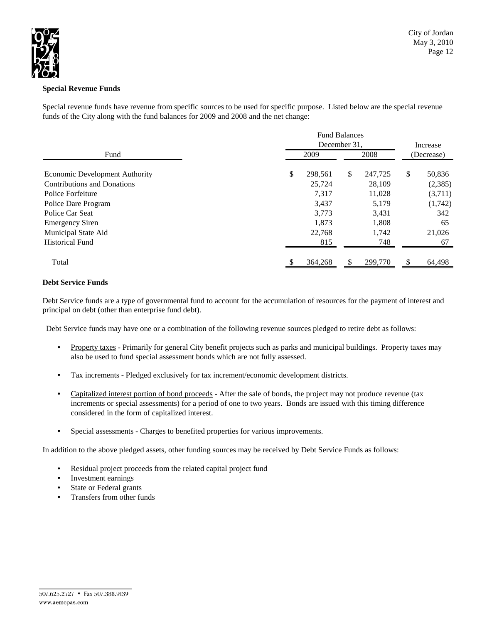

# **Special Revenue Funds**

Special revenue funds have revenue from specific sources to be used for specific purpose. Listed below are the special revenue funds of the City along with the fund balances for 2009 and 2008 and the net change:

|                                       | <b>Fund Balances</b><br>December 31, |         |    |         |    | Increase   |  |
|---------------------------------------|--------------------------------------|---------|----|---------|----|------------|--|
| Fund                                  | 2009                                 |         |    | 2008    |    | (Decrease) |  |
| <b>Economic Development Authority</b> | S                                    | 298,561 | \$ | 247,725 | \$ | 50,836     |  |
| <b>Contributions and Donations</b>    |                                      | 25,724  |    | 28,109  |    | (2,385)    |  |
| Police Forfeiture                     |                                      | 7,317   |    | 11,028  |    | (3,711)    |  |
| Police Dare Program                   |                                      | 3,437   |    | 5,179   |    | (1,742)    |  |
| Police Car Seat                       |                                      | 3,773   |    | 3,431   |    | 342        |  |
| <b>Emergency Siren</b>                |                                      | 1,873   |    | 1,808   |    | 65         |  |
| Municipal State Aid                   |                                      | 22,768  |    | 1,742   |    | 21,026     |  |
| <b>Historical Fund</b>                |                                      | 815     |    | 748     |    | 67         |  |
| Total                                 |                                      | 364,268 |    | 299,770 |    | 64,498     |  |

# **Debt Service Funds**

Debt Service funds are a type of governmental fund to account for the accumulation of resources for the payment of interest and principal on debt (other than enterprise fund debt).

Debt Service funds may have one or a combination of the following revenue sources pledged to retire debt as follows:

- Property taxes Primarily for general City benefit projects such as parks and municipal buildings. Property taxes may also be used to fund special assessment bonds which are not fully assessed.
- Tax increments Pledged exclusively for tax increment/economic development districts.
- Capitalized interest portion of bond proceeds After the sale of bonds, the project may not produce revenue (tax increments or special assessments) for a period of one to two years. Bonds are issued with this timing difference considered in the form of capitalized interest.
- Special assessments Charges to benefited properties for various improvements.

In addition to the above pledged assets, other funding sources may be received by Debt Service Funds as follows:

- Residual project proceeds from the related capital project fund
- Investment earnings
- State or Federal grants
- Transfers from other funds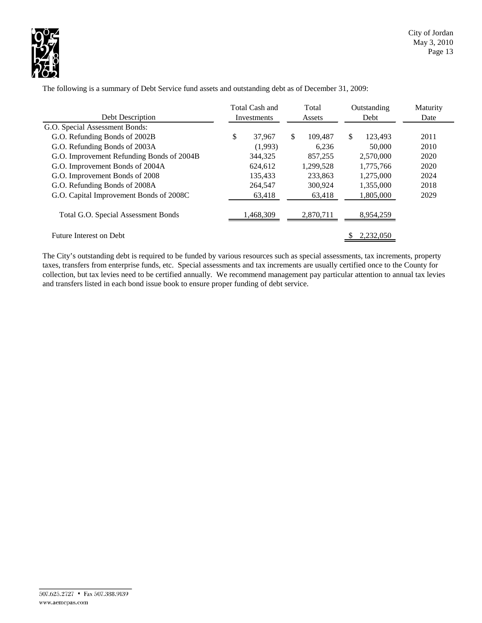

|                                           | Total Cash and |             | Total |           |               | Outstanding | Maturity |
|-------------------------------------------|----------------|-------------|-------|-----------|---------------|-------------|----------|
| Debt Description                          |                | Investments |       | Assets    |               | Debt        | Date     |
| G.O. Special Assessment Bonds:            |                |             |       |           |               |             |          |
| G.O. Refunding Bonds of 2002B             | \$             | 37,967      | \$.   | 109.487   | <sup>\$</sup> | 123.493     | 2011     |
| G.O. Refunding Bonds of 2003A             |                | (1,993)     |       | 6,236     |               | 50,000      | 2010     |
| G.O. Improvement Refunding Bonds of 2004B |                | 344,325     |       | 857,255   |               | 2,570,000   | 2020     |
| G.O. Improvement Bonds of 2004A           |                | 624,612     |       | 1,299,528 |               | 1,775,766   | 2020     |
| G.O. Improvement Bonds of 2008            |                | 135,433     |       | 233.863   |               | 1,275,000   | 2024     |
| G.O. Refunding Bonds of 2008A             |                | 264,547     |       | 300.924   |               | 1,355,000   | 2018     |
| G.O. Capital Improvement Bonds of 2008C   |                | 63,418      |       | 63,418    |               | 1,805,000   | 2029     |
| Total G.O. Special Assessment Bonds       |                | 1,468,309   |       | 2,870,711 |               | 8,954,259   |          |
| Future Interest on Debt                   |                |             |       |           |               | 2,232,050   |          |

The following is a summary of Debt Service fund assets and outstanding debt as of December 31, 2009:

The City's outstanding debt is required to be funded by various resources such as special assessments, tax increments, property taxes, transfers from enterprise funds, etc. Special assessments and tax increments are usually certified once to the County for collection, but tax levies need to be certified annually. We recommend management pay particular attention to annual tax levies and transfers listed in each bond issue book to ensure proper funding of debt service.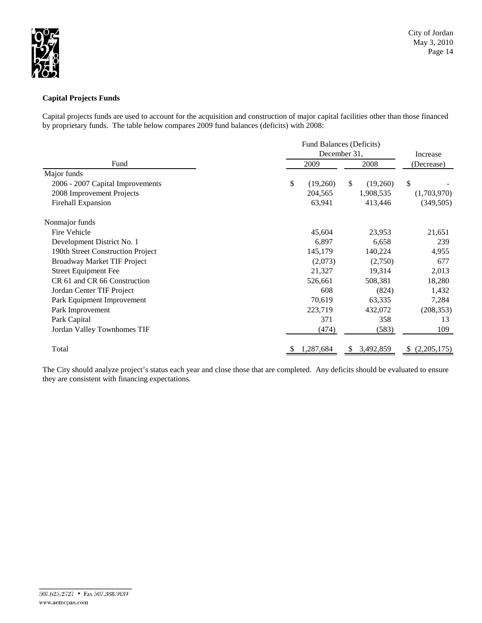

# **Capital Projects Funds**

Capital projects funds are used to account for the acquisition and construction of major capital facilities other than those financed by proprietary funds. The table below compares 2009 fund balances (deficits) with 2008:

|                                   |                | Fund Balances (Deficits) |                    |  |  |  |
|-----------------------------------|----------------|--------------------------|--------------------|--|--|--|
|                                   |                | December 31,             | Increase           |  |  |  |
| Fund                              | 2009           | 2008                     | (Decrease)         |  |  |  |
| Major funds                       |                |                          |                    |  |  |  |
| 2006 - 2007 Capital Improvements  | \$<br>(19,260) | \$<br>(19,260)           | <sup>\$</sup>      |  |  |  |
| 2008 Improvement Projects         | 204,565        | 1,908,535                | (1,703,970)        |  |  |  |
| Firehall Expansion                | 63,941         | 413,446                  | (349, 505)         |  |  |  |
| Nonmajor funds                    |                |                          |                    |  |  |  |
| Fire Vehicle                      | 45,604         | 23,953                   | 21,651             |  |  |  |
| Development District No. 1        | 6,897          | 6,658                    | 239                |  |  |  |
| 190th Street Construction Project | 145,179        | 140,224                  | 4,955              |  |  |  |
| Broadway Market TIF Project       | (2,073)        | (2,750)                  | 677                |  |  |  |
| <b>Street Equipment Fee</b>       | 21,327         | 19,314                   | 2,013              |  |  |  |
| CR 61 and CR 66 Construction      | 526,661        | 508,381                  | 18,280             |  |  |  |
| Jordan Center TIF Project         | 608            | (824)                    | 1,432              |  |  |  |
| Park Equipment Improvement        | 70,619         | 63,335                   | 7,284              |  |  |  |
| Park Improvement                  | 223,719        | 432,072                  | (208, 353)         |  |  |  |
| Park Capital                      | 371            | 358                      | 13                 |  |  |  |
| Jordan Valley Townhomes TIF       | (474)          | (583)                    | 109                |  |  |  |
| Total                             | 1,287,684      | 3,492,859                | (2,205,175)<br>\$. |  |  |  |

The City should analyze project's status each year and close those that are completed. Any deficits should be evaluated to ensure they are consistent with financing expectations.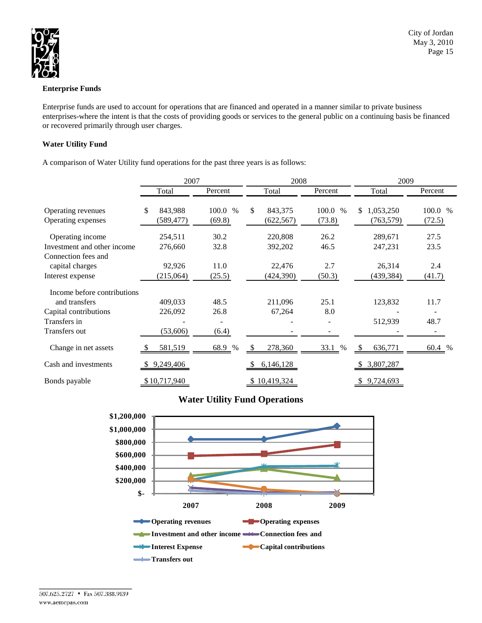

# **Enterprise Funds**

Enterprise funds are used to account for operations that are financed and operated in a manner similar to private business enterprises-where the intent is that the costs of providing goods or services to the general public on a continuing basis be financed or recovered primarily through user charges.

# **Water Utility Fund**

A comparison of Water Utility fund operations for the past three years is as follows:

|                             | 2007           |         | 2008          |         | 2009             |         |  |
|-----------------------------|----------------|---------|---------------|---------|------------------|---------|--|
|                             | Total          | Percent | Total         | Percent | Total            | Percent |  |
| Operating revenues          | \$.<br>843,988 | 100.0 % | \$<br>843,375 | 100.0 % | 1,053,250<br>\$  | 100.0 % |  |
| Operating expenses          | (589,477)      | (69.8)  | (622, 567)    | (73.8)  | (763, 579)       | (72.5)  |  |
| Operating income            | 254,511        | 30.2    | 220,808       | 26.2    | 289,671          | 27.5    |  |
| Investment and other income | 276,660        | 32.8    | 392,202       | 46.5    | 247,231          | 23.5    |  |
| Connection fees and         |                |         |               |         |                  |         |  |
| capital charges             | 92,926         | 11.0    | 22,476        | 2.7     | 26,314           | 2.4     |  |
| Interest expense            | (215,064)      | (25.5)  | (424, 390)    | (50.3)  | (439, 384)       | (41.7)  |  |
| Income before contributions |                |         |               |         |                  |         |  |
| and transfers               | 409,033        | 48.5    | 211,096       | 25.1    | 123,832          | 11.7    |  |
| Capital contributions       | 226,092        | 26.8    | 67,264        | 8.0     |                  |         |  |
| Transfers in                |                |         |               |         | 512,939          | 48.7    |  |
| Transfers out               | (53,606)       | (6.4)   |               |         |                  |         |  |
| Change in net assets        | 581,519        | 68.9 %  | 278,360<br>-S | 33.1 %  | 636,771<br>£.    | 60.4 %  |  |
| Cash and investments        | 9,249,406      |         | 6,146,128     |         | 3,807,287<br>-SS |         |  |
| Bonds payable               | \$10,717,940   |         | 10,419,324    |         | 9,724,693        |         |  |

# **Water Utility Fund Operations**

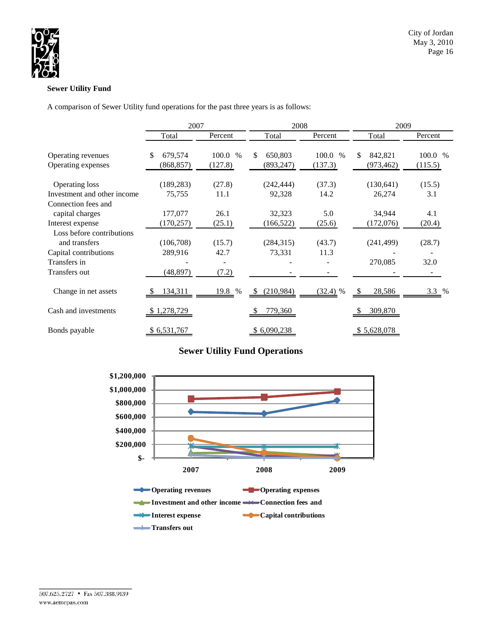

# **Sewer Utility Fund**

A comparison of Sewer Utility fund operations for the past three years is as follows:

|                             | 2007          |               | 2008                      |            | 2009          |         |  |
|-----------------------------|---------------|---------------|---------------------------|------------|---------------|---------|--|
|                             | Total         | Percent       | Total                     | Percent    | Total         | Percent |  |
| Operating revenues          | \$<br>679,574 | 100.0<br>$\%$ | \$<br>650,803             | 100.0 %    | \$<br>842,821 | 100.0 % |  |
| Operating expenses          | (868, 857)    | (127.8)       | (893, 247)                | (137.3)    | (973, 462)    | (115.5) |  |
| <b>Operating loss</b>       | (189, 283)    | (27.8)        | (242, 444)                | (37.3)     | (130, 641)    | (15.5)  |  |
| Investment and other income | 75,755        | 11.1          | 92,328                    | 14.2       | 26,274        | 3.1     |  |
| Connection fees and         |               |               |                           |            |               |         |  |
| capital charges             | 177,077       | 26.1          | 32,323                    | 5.0        | 34,944        | 4.1     |  |
| Interest expense            | (170, 257)    | (25.1)        | (166, 522)                | (25.6)     | (172,076)     | (20.4)  |  |
| Loss before contributions   |               |               |                           |            |               |         |  |
| and transfers               | (106,708)     | (15.7)        | (284, 315)                | (43.7)     | (241, 499)    | (28.7)  |  |
| Capital contributions       | 289,916       | 42.7          | 73,331                    | 11.3       |               |         |  |
| Transfers in                |               |               |                           |            | 270,085       | 32.0    |  |
| Transfers out               | (48, 897)     | (7.2)         |                           |            |               |         |  |
| Change in net assets        | 134,311       | 19.8 %        | (210,984)<br><sup>S</sup> | $(32.4)$ % | 28,586        | $3.3\%$ |  |
| Cash and investments        | \$1,278,729   |               | 779,360                   |            | 309,870       |         |  |
| Bonds payable               | \$6,531,767   |               | \$6,090,238               |            | \$5,628,078   |         |  |

# **Sewer Utility Fund Operations**

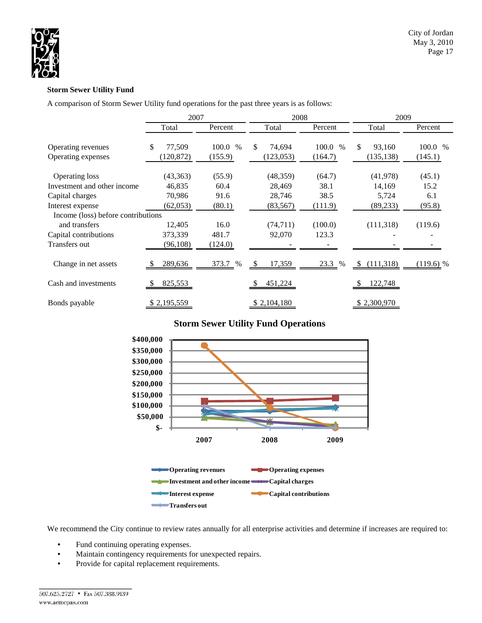

# **Storm Sewer Utility Fund**

A comparison of Storm Sewer Utility fund operations for the past three years is as follows:

|                                          | 2007                       |                          | 2008                       |                          | 2009                       |                    |  |  |
|------------------------------------------|----------------------------|--------------------------|----------------------------|--------------------------|----------------------------|--------------------|--|--|
|                                          | Total                      | Percent                  | Total                      | Percent                  | Total                      | Percent            |  |  |
| Operating revenues<br>Operating expenses | \$<br>77,509<br>(120, 872) | 100.0<br>$\%$<br>(155.9) | \$<br>74,694<br>(123, 053) | 100.0<br>$\%$<br>(164.7) | \$<br>93,160<br>(135, 138) | 100.0 %<br>(145.1) |  |  |
| Operating loss                           | (43, 363)                  | (55.9)                   | (48, 359)                  | (64.7)                   | (41, 978)                  | (45.1)             |  |  |
| Investment and other income              | 46,835                     | 60.4                     | 28,469                     | 38.1                     | 14,169                     | 15.2               |  |  |
| Capital charges                          | 70,986                     | 91.6                     | 28,746                     | 38.5                     | 5,724                      | 6.1                |  |  |
| Interest expense                         | (62,053)                   | (80.1)                   | (83, 567)                  | (111.9)                  | (89, 233)                  | (95.8)             |  |  |
| Income (loss) before contributions       |                            |                          |                            |                          |                            |                    |  |  |
| and transfers                            | 12,405                     | 16.0                     | (74, 711)                  | (100.0)                  | (111, 318)                 | (119.6)            |  |  |
| Capital contributions                    | 373,339                    | 481.7                    | 92,070                     | 123.3                    |                            |                    |  |  |
| Transfers out                            | (96, 108)                  | (124.0)                  |                            |                          |                            |                    |  |  |
| Change in net assets                     | 289,636<br><sup>8</sup>    | 373.7 %                  | 17,359<br>-S               | 23.3 %                   | (111,318)<br><sup>\$</sup> | $(119.6)$ %        |  |  |
| Cash and investments                     | 825,553                    |                          | 451,224                    |                          | 122,748                    |                    |  |  |
| Bonds payable                            | <u>\$2,195,559</u>         |                          | \$2,104,180                |                          | \$2,300,970                |                    |  |  |

# **Storm Sewer Utility Fund Operations**



We recommend the City continue to review rates annually for all enterprise activities and determine if increases are required to:

- Fund continuing operating expenses.
- Maintain contingency requirements for unexpected repairs.
- Provide for capital replacement requirements.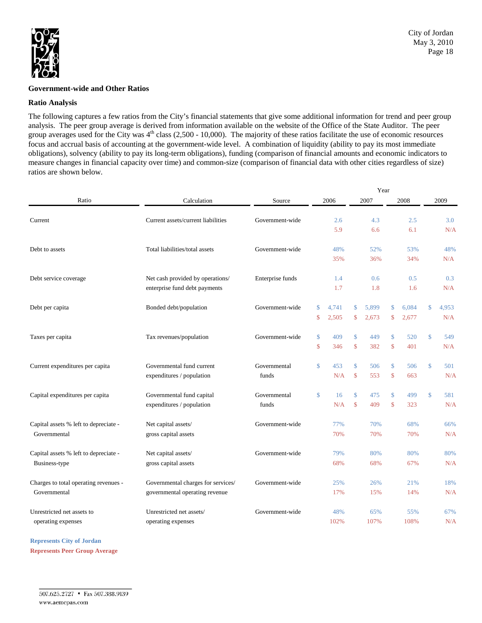

#### **Government-wide and Other Ratios**

#### **Ratio Analysis**

The following captures a few ratios from the City's financial statements that give some additional information for trend and peer group analysis. The peer group average is derived from information available on the website of the Office of the State Auditor. The peer group averages used for the City was  $4<sup>th</sup>$  class (2,500 - 10,000). The majority of these ratios facilitate the use of economic resources focus and accrual basis of accounting at the government-wide level. A combination of liquidity (ability to pay its most immediate obligations), solvency (ability to pay its long-term obligations), funding (comparison of financial amounts and economic indicators to measure changes in financial capacity over time) and common-size (comparison of financial data with other cities regardless of size) ratios are shown below.

|                                       |                                    |                  | Year |       |               |       |                    |       |              |       |
|---------------------------------------|------------------------------------|------------------|------|-------|---------------|-------|--------------------|-------|--------------|-------|
| Ratio                                 | Calculation                        | Source           | 2006 |       | 2007          |       |                    | 2008  |              | 2009  |
| Current                               | Current assets/current liabilities | Government-wide  |      | 2.6   |               | 4.3   |                    | 2.5   |              | 3.0   |
|                                       |                                    |                  |      | 5.9   |               | 6.6   |                    | 6.1   |              | N/A   |
|                                       |                                    |                  |      |       |               |       |                    |       |              |       |
| Debt to assets                        | Total liabilities/total assets     | Government-wide  |      | 48%   |               | 52%   |                    | 53%   |              | 48%   |
|                                       |                                    |                  |      | 35%   |               | 36%   |                    | 34%   |              | N/A   |
| Debt service coverage                 | Net cash provided by operations/   | Enterprise funds |      | 1.4   |               | 0.6   |                    | 0.5   |              | 0.3   |
|                                       | enterprise fund debt payments      |                  |      | 1.7   |               | 1.8   |                    | 1.6   |              | N/A   |
|                                       |                                    |                  |      |       |               |       |                    |       |              |       |
| Debt per capita                       | Bonded debt/population             | Government-wide  | \$   | 4.741 | \$            | 5.899 | \$                 | 6.084 | $\mathbb{S}$ | 4,953 |
|                                       |                                    |                  | \$   | 2,505 | \$            | 2,673 | \$                 | 2,677 |              | N/A   |
| Taxes per capita                      | Tax revenues/population            | Government-wide  | \$   | 409   | $\mathsf{\$}$ | 449   | \$                 | 520   | \$           | 549   |
|                                       |                                    |                  | \$   | 346   | $\mathsf{\$}$ | 382   | $\mathcal{S}$      | 401   |              | N/A   |
| Current expenditures per capita       | Governmental fund current          | Governmental     | \$   | 453   | $\mathsf{\$}$ | 506   | \$                 | 506   | \$           | 501   |
|                                       | expenditures / population          | funds            |      | N/A   | $\mathbf{\$}$ | 553   | $\mathbf{\hat{S}}$ | 663   |              | N/A   |
|                                       |                                    |                  |      |       |               |       |                    |       |              |       |
| Capital expenditures per capita       | Governmental fund capital          | Governmental     | \$   | 16    | $\mathsf{\$}$ | 475   | $\mathsf{\$}$      | 499   | \$           | 581   |
|                                       | expenditures / population          | funds            |      | N/A   | \$            | 409   | $\mathbf{\hat{S}}$ | 323   |              | N/A   |
| Capital assets % left to depreciate - | Net capital assets/                | Government-wide  |      | 77%   |               | 70%   |                    | 68%   |              | 66%   |
| Governmental                          | gross capital assets               |                  |      | 70%   |               | 70%   |                    | 70%   |              | N/A   |
|                                       |                                    |                  |      |       |               |       |                    |       |              |       |
| Capital assets % left to depreciate - | Net capital assets/                | Government-wide  |      | 79%   |               | 80%   |                    | 80%   |              | 80%   |
| Business-type                         | gross capital assets               |                  |      | 68%   |               | 68%   |                    | 67%   |              | N/A   |
| Charges to total operating revenues - | Governmental charges for services/ | Government-wide  |      | 25%   |               | 26%   |                    | 21%   |              | 18%   |
| Governmental                          | governmental operating revenue     |                  |      | 17%   |               | 15%   |                    | 14%   |              | N/A   |
|                                       |                                    |                  |      |       |               |       |                    |       |              |       |
| Unrestricted net assets to            | Unrestricted net assets/           | Government-wide  |      | 48%   |               | 65%   |                    | 55%   |              | 67%   |
| operating expenses                    | operating expenses                 |                  |      | 102%  |               | 107%  |                    | 108%  |              | N/A   |

**Represents City of Jordan Represents Peer Group Average**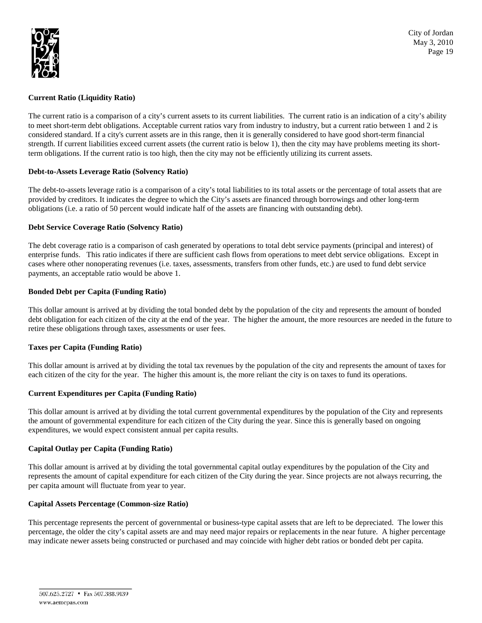

## **Current Ratio (Liquidity Ratio)**

The current ratio is a comparison of a city's current assets to its current liabilities. The current ratio is an indication of a city's ability to meet short-term debt obligations. Acceptable current ratios vary from industry to industry, but a current ratio between 1 and 2 is considered standard. If a city's current assets are in this range, then it is generally considered to have good short-term financial strength. If current liabilities exceed current assets (the current ratio is below 1), then the city may have problems meeting its shortterm obligations. If the current ratio is too high, then the city may not be efficiently utilizing its current assets.

#### **Debt-to-Assets Leverage Ratio (Solvency Ratio)**

The debt-to-assets leverage ratio is a comparison of a city's total liabilities to its total assets or the percentage of total assets that are provided by creditors. It indicates the degree to which the City's assets are financed through borrowings and other long-term obligations (i.e. a ratio of 50 percent would indicate half of the assets are financing with outstanding debt).

### **Debt Service Coverage Ratio (Solvency Ratio)**

The debt coverage ratio is a comparison of cash generated by operations to total debt service payments (principal and interest) of enterprise funds. This ratio indicates if there are sufficient cash flows from operations to meet debt service obligations. Except in cases where other nonoperating revenues (i.e. taxes, assessments, transfers from other funds, etc.) are used to fund debt service payments, an acceptable ratio would be above 1.

#### **Bonded Debt per Capita (Funding Ratio)**

This dollar amount is arrived at by dividing the total bonded debt by the population of the city and represents the amount of bonded debt obligation for each citizen of the city at the end of the year. The higher the amount, the more resources are needed in the future to retire these obligations through taxes, assessments or user fees.

### **Taxes per Capita (Funding Ratio)**

This dollar amount is arrived at by dividing the total tax revenues by the population of the city and represents the amount of taxes for each citizen of the city for the year. The higher this amount is, the more reliant the city is on taxes to fund its operations.

### **Current Expenditures per Capita (Funding Ratio)**

This dollar amount is arrived at by dividing the total current governmental expenditures by the population of the City and represents the amount of governmental expenditure for each citizen of the City during the year. Since this is generally based on ongoing expenditures, we would expect consistent annual per capita results.

### **Capital Outlay per Capita (Funding Ratio)**

This dollar amount is arrived at by dividing the total governmental capital outlay expenditures by the population of the City and represents the amount of capital expenditure for each citizen of the City during the year. Since projects are not always recurring, the per capita amount will fluctuate from year to year.

### **Capital Assets Percentage (Common-size Ratio)**

This percentage represents the percent of governmental or business-type capital assets that are left to be depreciated. The lower this percentage, the older the city's capital assets are and may need major repairs or replacements in the near future. A higher percentage may indicate newer assets being constructed or purchased and may coincide with higher debt ratios or bonded debt per capita.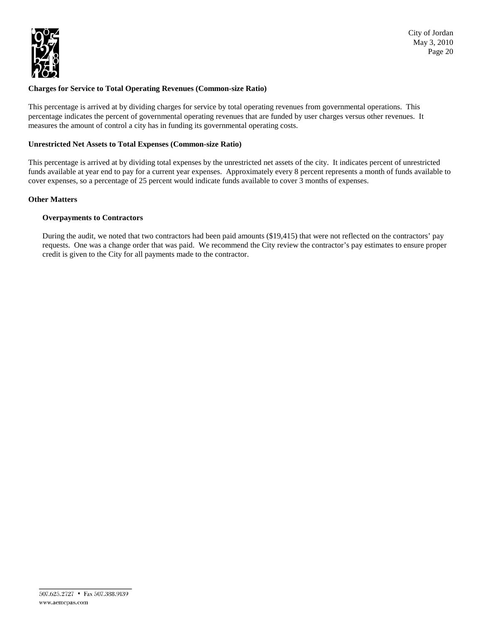

# **Charges for Service to Total Operating Revenues (Common-size Ratio)**

This percentage is arrived at by dividing charges for service by total operating revenues from governmental operations. This percentage indicates the percent of governmental operating revenues that are funded by user charges versus other revenues. It measures the amount of control a city has in funding its governmental operating costs.

### **Unrestricted Net Assets to Total Expenses (Common-size Ratio)**

This percentage is arrived at by dividing total expenses by the unrestricted net assets of the city. It indicates percent of unrestricted funds available at year end to pay for a current year expenses. Approximately every 8 percent represents a month of funds available to cover expenses, so a percentage of 25 percent would indicate funds available to cover 3 months of expenses.

# **Other Matters**

# **Overpayments to Contractors**

During the audit, we noted that two contractors had been paid amounts (\$19,415) that were not reflected on the contractors' pay requests. One was a change order that was paid. We recommend the City review the contractor's pay estimates to ensure proper credit is given to the City for all payments made to the contractor.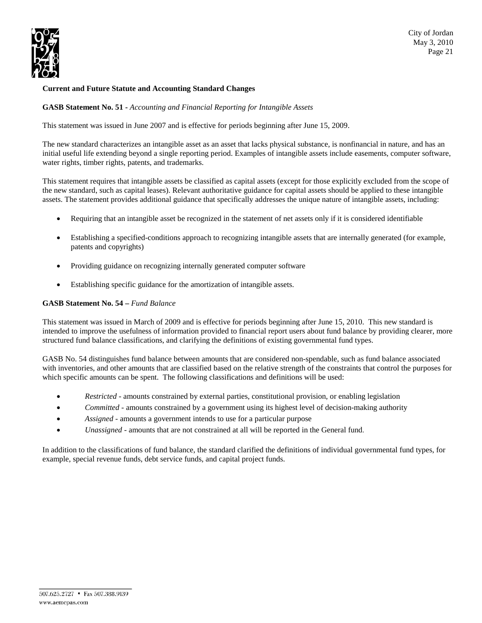

# **Current and Future Statute and Accounting Standard Changes**

**GASB Statement No. 51 -** *Accounting and Financial Reporting for Intangible Assets*

This statement was issued in June 2007 and is effective for periods beginning after June 15, 2009.

The new standard characterizes an intangible asset as an asset that lacks physical substance, is nonfinancial in nature, and has an initial useful life extending beyond a single reporting period. Examples of intangible assets include easements, computer software, water rights, timber rights, patents, and trademarks.

This statement requires that intangible assets be classified as capital assets (except for those explicitly excluded from the scope of the new standard, such as capital leases). Relevant authoritative guidance for capital assets should be applied to these intangible assets. The statement provides additional guidance that specifically addresses the unique nature of intangible assets, including:

- Requiring that an intangible asset be recognized in the statement of net assets only if it is considered identifiable
- Establishing a specified-conditions approach to recognizing intangible assets that are internally generated (for example, patents and copyrights)
- Providing guidance on recognizing internally generated computer software
- Establishing specific guidance for the amortization of intangible assets.

#### **GASB Statement No. 54 –** *Fund Balance*

This statement was issued in March of 2009 and is effective for periods beginning after June 15, 2010. This new standard is intended to improve the usefulness of information provided to financial report users about fund balance by providing clearer, more structured fund balance classifications, and clarifying the definitions of existing governmental fund types.

GASB No. 54 distinguishes fund balance between amounts that are considered non-spendable, such as fund balance associated with inventories, and other amounts that are classified based on the relative strength of the constraints that control the purposes for which specific amounts can be spent. The following classifications and definitions will be used:

- *Restricted -* amounts constrained by external parties, constitutional provision, or enabling legislation
- *Committed -* amounts constrained by a government using its highest level of decision-making authority
- *Assigned -* amounts a government intends to use for a particular purpose
- *Unassigned -* amounts that are not constrained at all will be reported in the General fund.

In addition to the classifications of fund balance, the standard clarified the definitions of individual governmental fund types, for example, special revenue funds, debt service funds, and capital project funds.